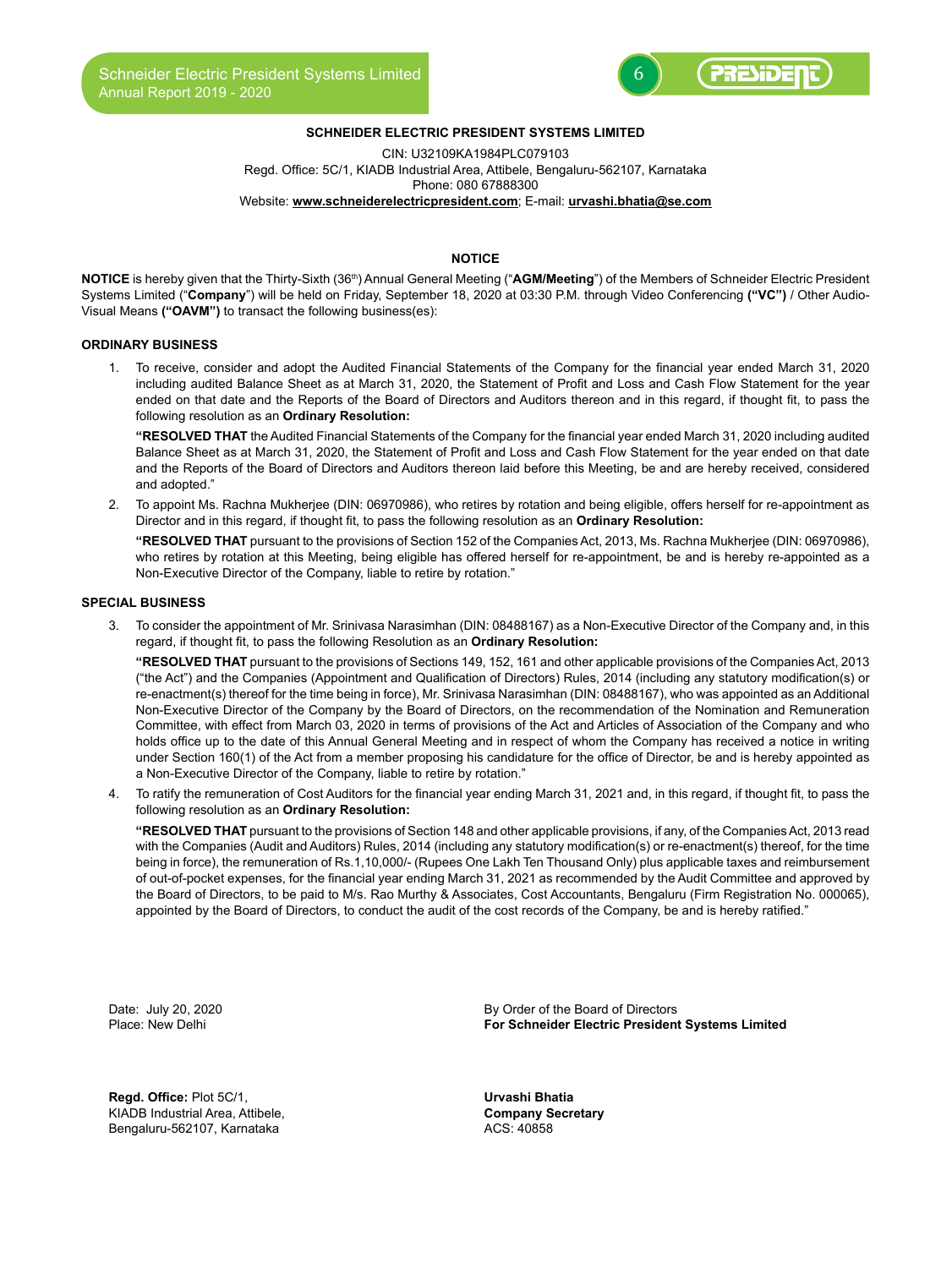

# **SCHNEIDER ELECTRIC PRESIDENT SYSTEMS LIMITED**

CIN: U32109KA1984PLC079103 Regd. Office: 5C/1, KIADB Industrial Area, Attibele, Bengaluru-562107, Karnataka Phone: 080 67888300 Website: **www.schneiderelectricpresident.com**; E-mail: **urvashi.bhatia@se.com**

# **NOTICE**

**NOTICE** is hereby given that the Thirty-Sixth (36th) Annual General Meeting ("**AGM/Meeting**") of the Members of Schneider Electric President Systems Limited ("**Company**") will be held on Friday, September 18, 2020 at 03:30 P.M. through Video Conferencing **("VC")** / Other Audio-Visual Means **("OAVM")** to transact the following business(es):

#### **ORDINARY BUSINESS**

1. To receive, consider and adopt the Audited Financial Statements of the Company for the financial year ended March 31, 2020 including audited Balance Sheet as at March 31, 2020, the Statement of Profit and Loss and Cash Flow Statement for the year ended on that date and the Reports of the Board of Directors and Auditors thereon and in this regard, if thought fit, to pass the following resolution as an **Ordinary Resolution:**

**"RESOLVED THAT** the Audited Financial Statements of the Company for the financial year ended March 31, 2020 including audited Balance Sheet as at March 31, 2020, the Statement of Profit and Loss and Cash Flow Statement for the year ended on that date and the Reports of the Board of Directors and Auditors thereon laid before this Meeting, be and are hereby received, considered and adopted."

2. To appoint Ms. Rachna Mukherjee (DIN: 06970986), who retires by rotation and being eligible, offers herself for re-appointment as Director and in this regard, if thought fit, to pass the following resolution as an **Ordinary Resolution:**

**"RESOLVED THAT** pursuant to the provisions of Section 152 of the Companies Act, 2013, Ms. Rachna Mukherjee (DIN: 06970986), who retires by rotation at this Meeting, being eligible has offered herself for re-appointment, be and is hereby re-appointed as a Non-Executive Director of the Company, liable to retire by rotation."

## **SPECIAL BUSINESS**

3. To consider the appointment of Mr. Srinivasa Narasimhan (DIN: 08488167) as a Non-Executive Director of the Company and, in this regard, if thought fit, to pass the following Resolution as an **Ordinary Resolution:**

**"RESOLVED THAT** pursuant to the provisions of Sections 149, 152, 161 and other applicable provisions of the Companies Act, 2013 ("the Act") and the Companies (Appointment and Qualification of Directors) Rules, 2014 (including any statutory modification(s) or re-enactment(s) thereof for the time being in force), Mr. Srinivasa Narasimhan (DIN: 08488167), who was appointed as an Additional Non-Executive Director of the Company by the Board of Directors, on the recommendation of the Nomination and Remuneration Committee, with effect from March 03, 2020 in terms of provisions of the Act and Articles of Association of the Company and who holds office up to the date of this Annual General Meeting and in respect of whom the Company has received a notice in writing under Section 160(1) of the Act from a member proposing his candidature for the office of Director, be and is hereby appointed as a Non-Executive Director of the Company, liable to retire by rotation."

4. To ratify the remuneration of Cost Auditors for the financial year ending March 31, 2021 and, in this regard, if thought fit, to pass the following resolution as an **Ordinary Resolution:**

**"RESOLVED THAT** pursuant to the provisions of Section 148 and other applicable provisions, if any, of the Companies Act, 2013 read with the Companies (Audit and Auditors) Rules, 2014 (including any statutory modification(s) or re-enactment(s) thereof, for the time being in force), the remuneration of Rs.1,10,000/- (Rupees One Lakh Ten Thousand Only) plus applicable taxes and reimbursement of out-of-pocket expenses, for the financial year ending March 31, 2021 as recommended by the Audit Committee and approved by the Board of Directors, to be paid to M/s. Rao Murthy & Associates, Cost Accountants, Bengaluru (Firm Registration No. 000065), appointed by the Board of Directors, to conduct the audit of the cost records of the Company, be and is hereby ratified."

**Regd. Office:** Plot 5C/1, **Urvashi Bhatia** KIADB Industrial Area, Attibele, **Company Secretary Company S**<br>
Bengaluru-562107. Karnataka Bengaluru-562107, Karnataka

Date: July 20, 2020 **By Order of the Board of Directors**<br>Place: New Delhi **By Order of Schneider Electric Presiden For Schneider Electric President Systems Limited**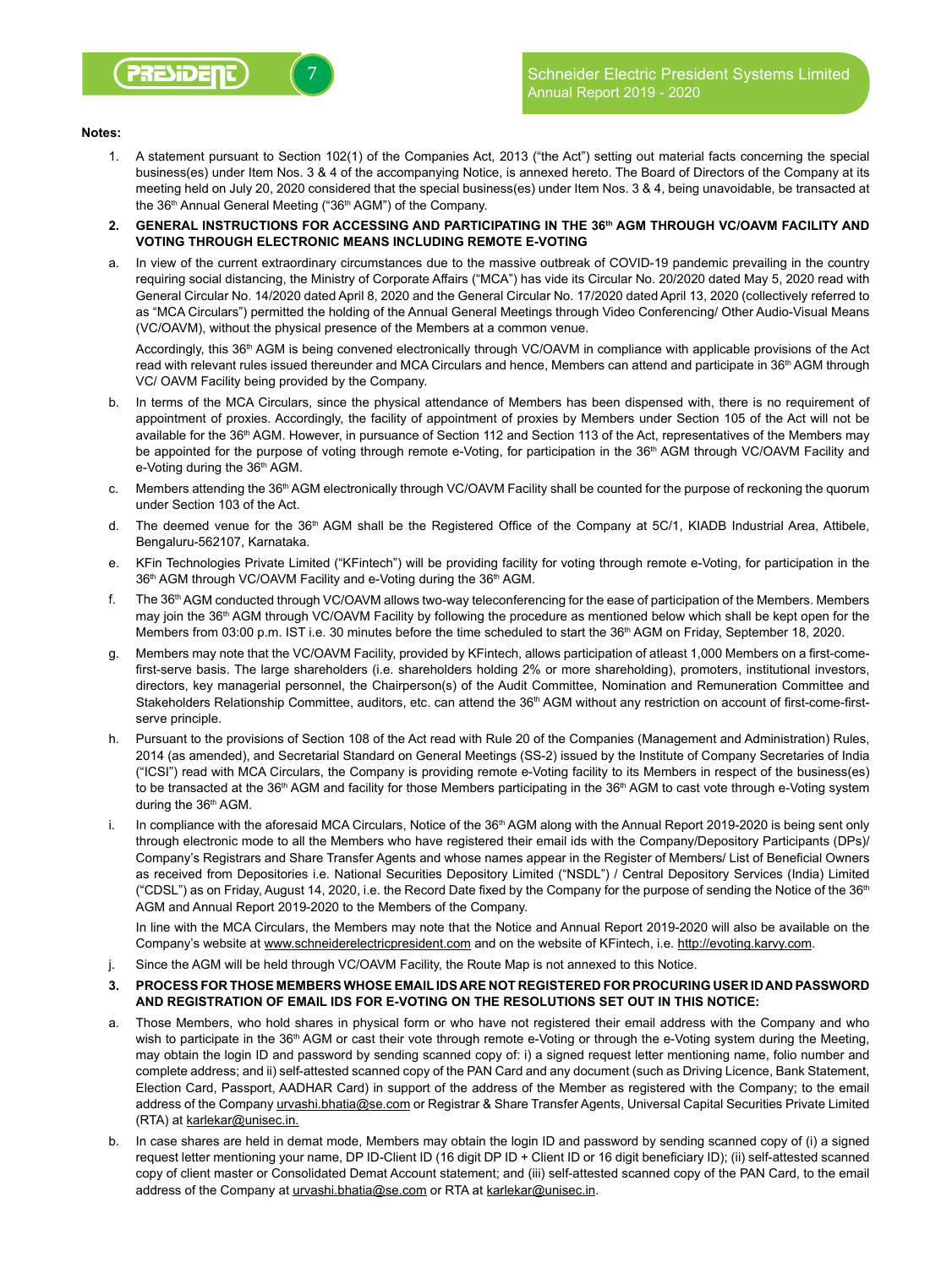## **Notes:**

- 1. A statement pursuant to Section 102(1) of the Companies Act, 2013 ("the Act") setting out material facts concerning the special business(es) under Item Nos. 3 & 4 of the accompanying Notice, is annexed hereto. The Board of Directors of the Company at its meeting held on July 20, 2020 considered that the special business(es) under Item Nos. 3 & 4, being unavoidable, be transacted at the 36<sup>th</sup> Annual General Meeting ("36<sup>th</sup> AGM") of the Company.
- **2. GENERAL INSTRUCTIONS FOR ACCESSING AND PARTICIPATING IN THE 36th AGM THROUGH VC/OAVM FACILITY AND VOTING THROUGH ELECTRONIC MEANS INCLUDING REMOTE E-VOTING**
- a. In view of the current extraordinary circumstances due to the massive outbreak of COVID-19 pandemic prevailing in the country requiring social distancing, the Ministry of Corporate Affairs ("MCA") has vide its Circular No. 20/2020 dated May 5, 2020 read with General Circular No. 14/2020 dated April 8, 2020 and the General Circular No. 17/2020 dated April 13, 2020 (collectively referred to as "MCA Circulars") permitted the holding of the Annual General Meetings through Video Conferencing/ Other Audio-Visual Means (VC/OAVM), without the physical presence of the Members at a common venue.

Accordingly, this 36<sup>th</sup> AGM is being convened electronically through VC/OAVM in compliance with applicable provisions of the Act read with relevant rules issued thereunder and MCA Circulars and hence, Members can attend and participate in 36<sup>th</sup> AGM through VC/ OAVM Facility being provided by the Company.

- b. In terms of the MCA Circulars, since the physical attendance of Members has been dispensed with, there is no requirement of appointment of proxies. Accordingly, the facility of appointment of proxies by Members under Section 105 of the Act will not be available for the 36<sup>th</sup> AGM. However, in pursuance of Section 112 and Section 113 of the Act, representatives of the Members may be appointed for the purpose of voting through remote e-Voting, for participation in the 36<sup>th</sup> AGM through VC/OAVM Facility and e-Voting during the 36<sup>th</sup> AGM.
- c. Members attending the 36<sup>th</sup> AGM electronically through VC/OAVM Facility shall be counted for the purpose of reckoning the quorum under Section 103 of the Act.
- d. The deemed venue for the 36<sup>th</sup> AGM shall be the Registered Office of the Company at 5C/1, KIADB Industrial Area, Attibele, Bengaluru-562107, Karnataka.
- e. KFin Technologies Private Limited ("KFintech") will be providing facility for voting through remote e-Voting, for participation in the 36<sup>th</sup> AGM through VC/OAVM Facility and e-Voting during the 36<sup>th</sup> AGM.
- f. The 36th AGM conducted through VC/OAVM allows two-way teleconferencing for the ease of participation of the Members. Members may join the 36<sup>th</sup> AGM through VC/OAVM Facility by following the procedure as mentioned below which shall be kept open for the Members from 03:00 p.m. IST i.e. 30 minutes before the time scheduled to start the 36<sup>th</sup> AGM on Friday, September 18, 2020.
- g. Members may note that the VC/OAVM Facility, provided by KFintech, allows participation of atleast 1,000 Members on a first-comefirst-serve basis. The large shareholders (i.e. shareholders holding 2% or more shareholding), promoters, institutional investors, directors, key managerial personnel, the Chairperson(s) of the Audit Committee, Nomination and Remuneration Committee and Stakeholders Relationship Committee, auditors, etc. can attend the 36<sup>th</sup> AGM without any restriction on account of first-come-firstserve principle.
- h. Pursuant to the provisions of Section 108 of the Act read with Rule 20 of the Companies (Management and Administration) Rules, 2014 (as amended), and Secretarial Standard on General Meetings (SS-2) issued by the Institute of Company Secretaries of India ("ICSI") read with MCA Circulars, the Company is providing remote e-Voting facility to its Members in respect of the business(es) to be transacted at the 36<sup>th</sup> AGM and facility for those Members participating in the 36<sup>th</sup> AGM to cast vote through e-Voting system during the 36<sup>th</sup> AGM.
- i. In compliance with the aforesaid MCA Circulars, Notice of the 36<sup>th</sup> AGM along with the Annual Report 2019-2020 is being sent only through electronic mode to all the Members who have registered their email ids with the Company/Depository Participants (DPs)/ Company's Registrars and Share Transfer Agents and whose names appear in the Register of Members/ List of Beneficial Owners as received from Depositories i.e. National Securities Depository Limited ("NSDL") / Central Depository Services (India) Limited ("CDSL") as on Friday, August 14, 2020, i.e. the Record Date fixed by the Company for the purpose of sending the Notice of the 36<sup>th</sup> AGM and Annual Report 2019-2020 to the Members of the Company.

In line with the MCA Circulars, the Members may note that the Notice and Annual Report 2019-2020 will also be available on the Company's website at www.schneiderelectricpresident.com and on the website of KFintech, i.e. http://evoting.karvy.com.

- j. Since the AGM will be held through VC/OAVM Facility, the Route Map is not annexed to this Notice.
- **3. PROCESS FOR THOSE MEMBERS WHOSE EMAIL IDS ARE NOT REGISTERED FOR PROCURING USER ID AND PASSWORD AND REGISTRATION OF EMAIL IDS FOR E-VOTING ON THE RESOLUTIONS SET OUT IN THIS NOTICE:**
- a. Those Members, who hold shares in physical form or who have not registered their email address with the Company and who wish to participate in the 36<sup>th</sup> AGM or cast their vote through remote e-Voting or through the e-Voting system during the Meeting, may obtain the login ID and password by sending scanned copy of: i) a signed request letter mentioning name, folio number and complete address; and ii) self-attested scanned copy of the PAN Card and any document (such as Driving Licence, Bank Statement, Election Card, Passport, AADHAR Card) in support of the address of the Member as registered with the Company; to the email address of the Company urvashi.bhatia@se.com or Registrar & Share Transfer Agents, Universal Capital Securities Private Limited (RTA) at karlekar@unisec.in.
- b. In case shares are held in demat mode, Members may obtain the login ID and password by sending scanned copy of (i) a signed request letter mentioning your name, DP ID-Client ID (16 digit DP ID + Client ID or 16 digit beneficiary ID); (ii) self-attested scanned copy of client master or Consolidated Demat Account statement; and (iii) self-attested scanned copy of the PAN Card, to the email address of the Company at *urvashi.bhatia@se.com* or RTA at karlekar@unisec.in.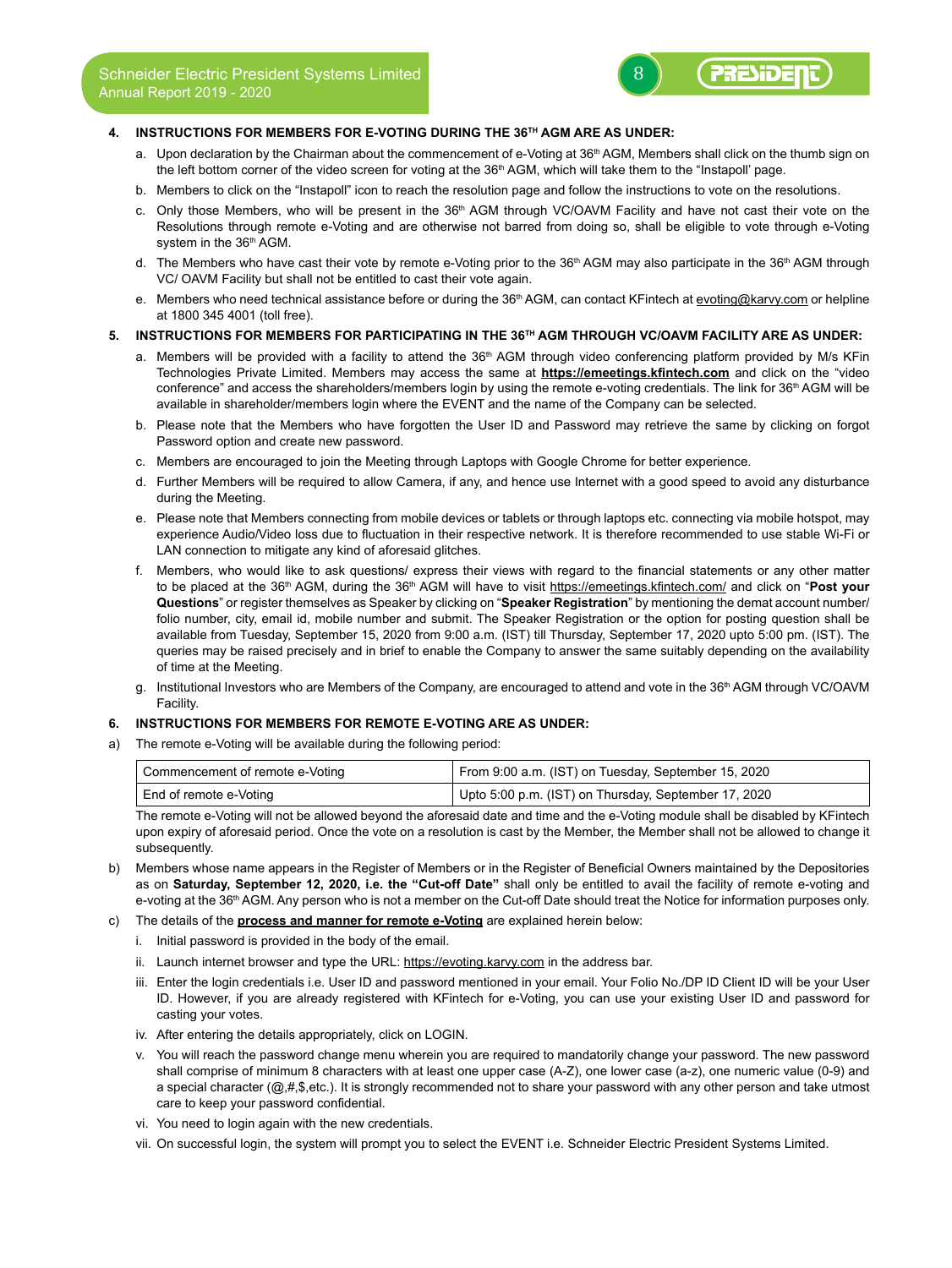## **4. INSTRUCTIONS FOR MEMBERS FOR E-VOTING DURING THE 36TH AGM ARE AS UNDER:**

a. Upon declaration by the Chairman about the commencement of e-Voting at 36<sup>th</sup> AGM, Members shall click on the thumb sign on the left bottom corner of the video screen for voting at the 36<sup>th</sup> AGM, which will take them to the "Instapoll' page.

PRESIDED

- b. Members to click on the "Instapoll" icon to reach the resolution page and follow the instructions to vote on the resolutions.
- c. Only those Members, who will be present in the  $36<sup>th</sup>$  AGM through VC/OAVM Facility and have not cast their vote on the Resolutions through remote e-Voting and are otherwise not barred from doing so, shall be eligible to vote through e-Voting system in the 36<sup>th</sup> AGM.
- d. The Members who have cast their vote by remote e-Voting prior to the 36<sup>th</sup> AGM may also participate in the 36<sup>th</sup> AGM through VC/ OAVM Facility but shall not be entitled to cast their vote again.
- e. Members who need technical assistance before or during the 36<sup>th</sup> AGM, can contact KFintech at evoting@karvy.com or helpline at 1800 345 4001 (toll free).

## **5. INSTRUCTIONS FOR MEMBERS FOR PARTICIPATING IN THE 36TH AGM THROUGH VC/OAVM FACILITY ARE AS UNDER:**

- a. Members will be provided with a facility to attend the 36<sup>th</sup> AGM through video conferencing platform provided by M/s KFin Technologies Private Limited. Members may access the same at **https://emeetings.kfintech.com** and click on the "video conference" and access the shareholders/members login by using the remote e-voting credentials. The link for 36<sup>th</sup> AGM will be available in shareholder/members login where the EVENT and the name of the Company can be selected.
- b. Please note that the Members who have forgotten the User ID and Password may retrieve the same by clicking on forgot Password option and create new password.
- c. Members are encouraged to join the Meeting through Laptops with Google Chrome for better experience.
- d. Further Members will be required to allow Camera, if any, and hence use Internet with a good speed to avoid any disturbance during the Meeting.
- e. Please note that Members connecting from mobile devices or tablets or through laptops etc. connecting via mobile hotspot, may experience Audio/Video loss due to fluctuation in their respective network. It is therefore recommended to use stable Wi-Fi or LAN connection to mitigate any kind of aforesaid glitches.
- f. Members, who would like to ask questions/ express their views with regard to the financial statements or any other matter to be placed at the 36th AGM, during the 36th AGM will have to visit https://emeetings.kfintech.com/ and click on "**Post your Questions**" or register themselves as Speaker by clicking on "**Speaker Registration**" by mentioning the demat account number/ folio number, city, email id, mobile number and submit. The Speaker Registration or the option for posting question shall be available from Tuesday, September 15, 2020 from 9:00 a.m. (IST) till Thursday, September 17, 2020 upto 5:00 pm. (IST). The queries may be raised precisely and in brief to enable the Company to answer the same suitably depending on the availability of time at the Meeting.
- g. Institutional Investors who are Members of the Company, are encouraged to attend and vote in the 36<sup>th</sup> AGM through VC/OAVM Facility.

#### **6. INSTRUCTIONS FOR MEMBERS FOR REMOTE E-VOTING ARE AS UNDER:**

a) The remote e-Voting will be available during the following period:

| Commencement of remote e-Voting | From 9:00 a.m. (IST) on Tuesday, September 15, 2020  |
|---------------------------------|------------------------------------------------------|
| End of remote e-Voting          | Upto 5:00 p.m. (IST) on Thursday, September 17, 2020 |

The remote e-Voting will not be allowed beyond the aforesaid date and time and the e-Voting module shall be disabled by KFintech upon expiry of aforesaid period. Once the vote on a resolution is cast by the Member, the Member shall not be allowed to change it subsequently.

- b) Members whose name appears in the Register of Members or in the Register of Beneficial Owners maintained by the Depositories as on **Saturday, September 12, 2020, i.e. the "Cut-off Date"** shall only be entitled to avail the facility of remote e-voting and e-voting at the 36<sup>th</sup> AGM. Any person who is not a member on the Cut-off Date should treat the Notice for information purposes only.
- c) The details of the **process and manner for remote e-Voting** are explained herein below:
	- i. Initial password is provided in the body of the email.
	- ii. Launch internet browser and type the URL: https://evoting.karvy.com in the address bar.
	- iii. Enter the login credentials i.e. User ID and password mentioned in your email. Your Folio No./DP ID Client ID will be your User ID. However, if you are already registered with KFintech for e-Voting, you can use your existing User ID and password for casting your votes.
	- iv. After entering the details appropriately, click on LOGIN.
	- v. You will reach the password change menu wherein you are required to mandatorily change your password. The new password shall comprise of minimum 8 characters with at least one upper case (A-Z), one lower case (a-z), one numeric value (0-9) and a special character (@,#,\$,etc.). It is strongly recommended not to share your password with any other person and take utmost care to keep your password confidential.
	- vi. You need to login again with the new credentials.
	- vii. On successful login, the system will prompt you to select the EVENT i.e. Schneider Electric President Systems Limited.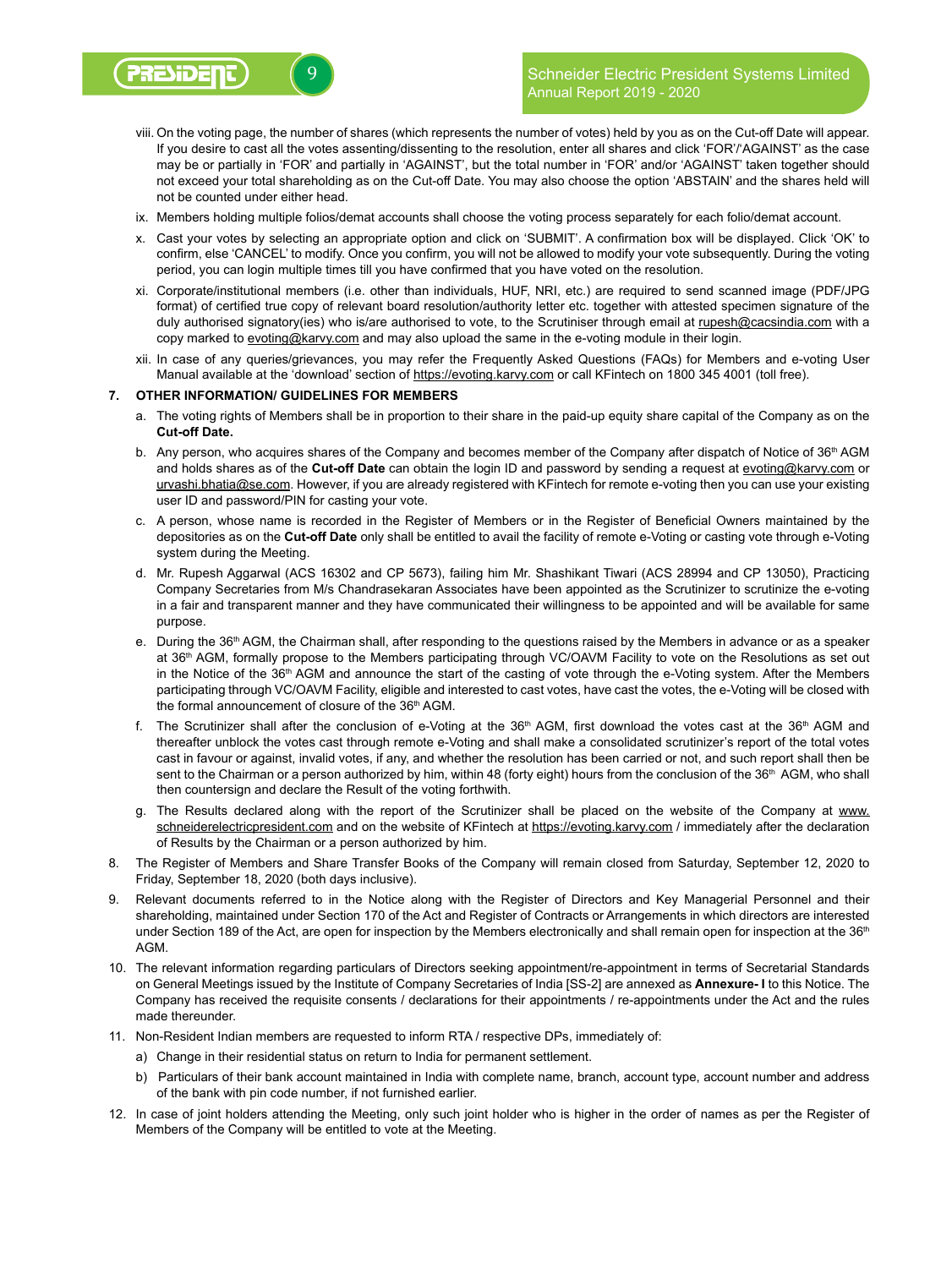- viii. On the voting page, the number of shares (which represents the number of votes) held by you as on the Cut-off Date will appear. If you desire to cast all the votes assenting/dissenting to the resolution, enter all shares and click 'FOR'/'AGAINST' as the case may be or partially in 'FOR' and partially in 'AGAINST', but the total number in 'FOR' and/or 'AGAINST' taken together should not exceed your total shareholding as on the Cut-off Date. You may also choose the option 'ABSTAIN' and the shares held will not be counted under either head.
- ix. Members holding multiple folios/demat accounts shall choose the voting process separately for each folio/demat account.
- x. Cast your votes by selecting an appropriate option and click on 'SUBMIT'. A confirmation box will be displayed. Click 'OK' to confirm, else 'CANCEL' to modify. Once you confirm, you will not be allowed to modify your vote subsequently. During the voting period, you can login multiple times till you have confirmed that you have voted on the resolution.
- xi. Corporate/institutional members (i.e. other than individuals, HUF, NRI, etc.) are required to send scanned image (PDF/JPG format) of certified true copy of relevant board resolution/authority letter etc. together with attested specimen signature of the duly authorised signatory(ies) who is/are authorised to vote, to the Scrutiniser through email at rupesh@cacsindia.com with a copy marked to evoting@karvy.com and may also upload the same in the e-voting module in their login.
- xii. In case of any queries/grievances, you may refer the Frequently Asked Questions (FAQs) for Members and e-voting User Manual available at the 'download' section of https://evoting.karvy.com or call KFintech on 1800 345 4001 (toll free).

### **7. OTHER INFORMATION/ GUIDELINES FOR MEMBERS**

- a. The voting rights of Members shall be in proportion to their share in the paid-up equity share capital of the Company as on the **Cut-off Date.**
- b. Any person, who acquires shares of the Company and becomes member of the Company after dispatch of Notice of  $36<sup>th</sup>$  AGM and holds shares as of the **Cut-off Date** can obtain the login ID and password by sending a request at evoting@karvy.com or urvashi.bhatia@se.com. However, if you are already registered with KFintech for remote e-voting then you can use your existing user ID and password/PIN for casting your vote.
- c. A person, whose name is recorded in the Register of Members or in the Register of Beneficial Owners maintained by the depositories as on the **Cut-off Date** only shall be entitled to avail the facility of remote e-Voting or casting vote through e-Voting system during the Meeting.
- d. Mr. Rupesh Aggarwal (ACS 16302 and CP 5673), failing him Mr. Shashikant Tiwari (ACS 28994 and CP 13050), Practicing Company Secretaries from M/s Chandrasekaran Associates have been appointed as the Scrutinizer to scrutinize the e-voting in a fair and transparent manner and they have communicated their willingness to be appointed and will be available for same purpose.
- e. During the 36<sup>th</sup> AGM, the Chairman shall, after responding to the questions raised by the Members in advance or as a speaker at 36th AGM, formally propose to the Members participating through VC/OAVM Facility to vote on the Resolutions as set out in the Notice of the 36<sup>th</sup> AGM and announce the start of the casting of vote through the e-Voting system. After the Members participating through VC/OAVM Facility, eligible and interested to cast votes, have cast the votes, the e-Voting will be closed with the formal announcement of closure of the 36th AGM.
- f. The Scrutinizer shall after the conclusion of e-Voting at the 36<sup>th</sup> AGM, first download the votes cast at the 36<sup>th</sup> AGM and thereafter unblock the votes cast through remote e-Voting and shall make a consolidated scrutinizer's report of the total votes cast in favour or against, invalid votes, if any, and whether the resolution has been carried or not, and such report shall then be sent to the Chairman or a person authorized by him, within 48 (forty eight) hours from the conclusion of the 36<sup>th</sup> AGM, who shall then countersign and declare the Result of the voting forthwith.
- g. The Results declared along with the report of the Scrutinizer shall be placed on the website of the Company at www. schneiderelectricpresident.com and on the website of KFintech at https://evoting.karvy.com / immediately after the declaration of Results by the Chairman or a person authorized by him.
- 8. The Register of Members and Share Transfer Books of the Company will remain closed from Saturday, September 12, 2020 to Friday, September 18, 2020 (both days inclusive).
- 9. Relevant documents referred to in the Notice along with the Register of Directors and Key Managerial Personnel and their shareholding, maintained under Section 170 of the Act and Register of Contracts or Arrangements in which directors are interested under Section 189 of the Act, are open for inspection by the Members electronically and shall remain open for inspection at the 36<sup>th</sup> AGM.
- 10. The relevant information regarding particulars of Directors seeking appointment/re-appointment in terms of Secretarial Standards on General Meetings issued by the Institute of Company Secretaries of India [SS-2] are annexed as **Annexure- I** to this Notice. The Company has received the requisite consents / declarations for their appointments / re-appointments under the Act and the rules made thereunder.
- 11. Non-Resident Indian members are requested to inform RTA / respective DPs, immediately of:
	- a) Change in their residential status on return to India for permanent settlement.
	- b) Particulars of their bank account maintained in India with complete name, branch, account type, account number and address of the bank with pin code number, if not furnished earlier.
- 12. In case of joint holders attending the Meeting, only such joint holder who is higher in the order of names as per the Register of Members of the Company will be entitled to vote at the Meeting.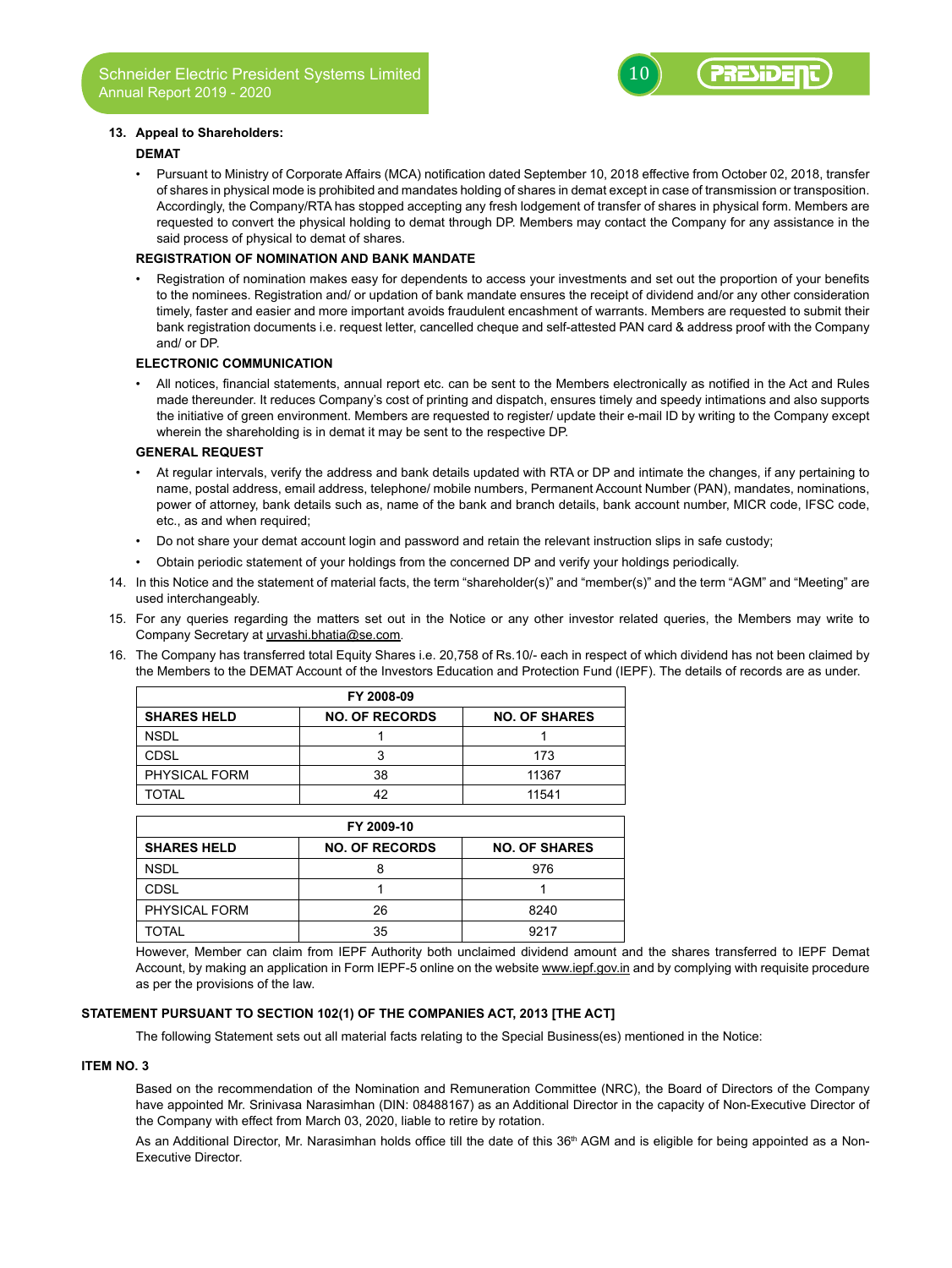## **13. Appeal to Shareholders:**

#### **DEMAT**

Pursuant to Ministry of Corporate Affairs (MCA) notification dated September 10, 2018 effective from October 02, 2018, transfer of shares in physical mode is prohibited and mandates holding of shares in demat except in case of transmission or transposition. Accordingly, the Company/RTA has stopped accepting any fresh lodgement of transfer of shares in physical form. Members are requested to convert the physical holding to demat through DP. Members may contact the Company for any assistance in the said process of physical to demat of shares.

# **REGISTRATION OF NOMINATION AND BANK MANDATE**

Registration of nomination makes easy for dependents to access your investments and set out the proportion of your benefits to the nominees. Registration and/ or updation of bank mandate ensures the receipt of dividend and/or any other consideration timely, faster and easier and more important avoids fraudulent encashment of warrants. Members are requested to submit their bank registration documents i.e. request letter, cancelled cheque and self-attested PAN card & address proof with the Company and/ or DP.

#### **ELECTRONIC COMMUNICATION**

All notices, financial statements, annual report etc. can be sent to the Members electronically as notified in the Act and Rules made thereunder. It reduces Company's cost of printing and dispatch, ensures timely and speedy intimations and also supports the initiative of green environment. Members are requested to register/ update their e-mail ID by writing to the Company except wherein the shareholding is in demat it may be sent to the respective DP.

## **GENERAL REQUEST**

- At regular intervals, verify the address and bank details updated with RTA or DP and intimate the changes, if any pertaining to name, postal address, email address, telephone/ mobile numbers, Permanent Account Number (PAN), mandates, nominations, power of attorney, bank details such as, name of the bank and branch details, bank account number, MICR code, IFSC code, etc., as and when required;
- Do not share your demat account login and password and retain the relevant instruction slips in safe custody;
- Obtain periodic statement of your holdings from the concerned DP and verify your holdings periodically.
- 14. In this Notice and the statement of material facts, the term "shareholder(s)" and "member(s)" and the term "AGM" and "Meeting" are used interchangeably.
- 15. For any queries regarding the matters set out in the Notice or any other investor related queries, the Members may write to Company Secretary at urvashi.bhatia@se.com.
- 16. The Company has transferred total Equity Shares i.e. 20,758 of Rs.10/- each in respect of which dividend has not been claimed by the Members to the DEMAT Account of the Investors Education and Protection Fund (IEPF). The details of records are as under.

| FY 2008-09         |                       |                      |  |  |
|--------------------|-----------------------|----------------------|--|--|
| <b>SHARES HELD</b> | <b>NO. OF RECORDS</b> | <b>NO. OF SHARES</b> |  |  |
| <b>NSDL</b>        |                       |                      |  |  |
| CDSL               |                       | 173                  |  |  |
| PHYSICAL FORM      | 38                    | 11367                |  |  |
| TOTAL              | 42                    | 11541                |  |  |

| FY 2009-10           |                       |                      |  |  |
|----------------------|-----------------------|----------------------|--|--|
| <b>SHARES HELD</b>   | <b>NO. OF RECORDS</b> | <b>NO. OF SHARES</b> |  |  |
| <b>NSDL</b>          |                       | 976                  |  |  |
| <b>CDSL</b>          |                       |                      |  |  |
| <b>PHYSICAL FORM</b> | 26                    | 8240                 |  |  |
| <b>TOTAL</b>         | 35                    | 9217                 |  |  |

However, Member can claim from IEPF Authority both unclaimed dividend amount and the shares transferred to IEPF Demat Account, by making an application in Form IEPF-5 online on the website www.iepf.gov.in and by complying with requisite procedure as per the provisions of the law.

# **STATEMENT PURSUANT TO SECTION 102(1) OF THE COMPANIES ACT, 2013 [THE ACT]**

The following Statement sets out all material facts relating to the Special Business(es) mentioned in the Notice:

#### **ITEM NO. 3**

Based on the recommendation of the Nomination and Remuneration Committee (NRC), the Board of Directors of the Company have appointed Mr. Srinivasa Narasimhan (DIN: 08488167) as an Additional Director in the capacity of Non-Executive Director of the Company with effect from March 03, 2020, liable to retire by rotation.

As an Additional Director, Mr. Narasimhan holds office till the date of this 36<sup>th</sup> AGM and is eligible for being appointed as a Non-Executive Director.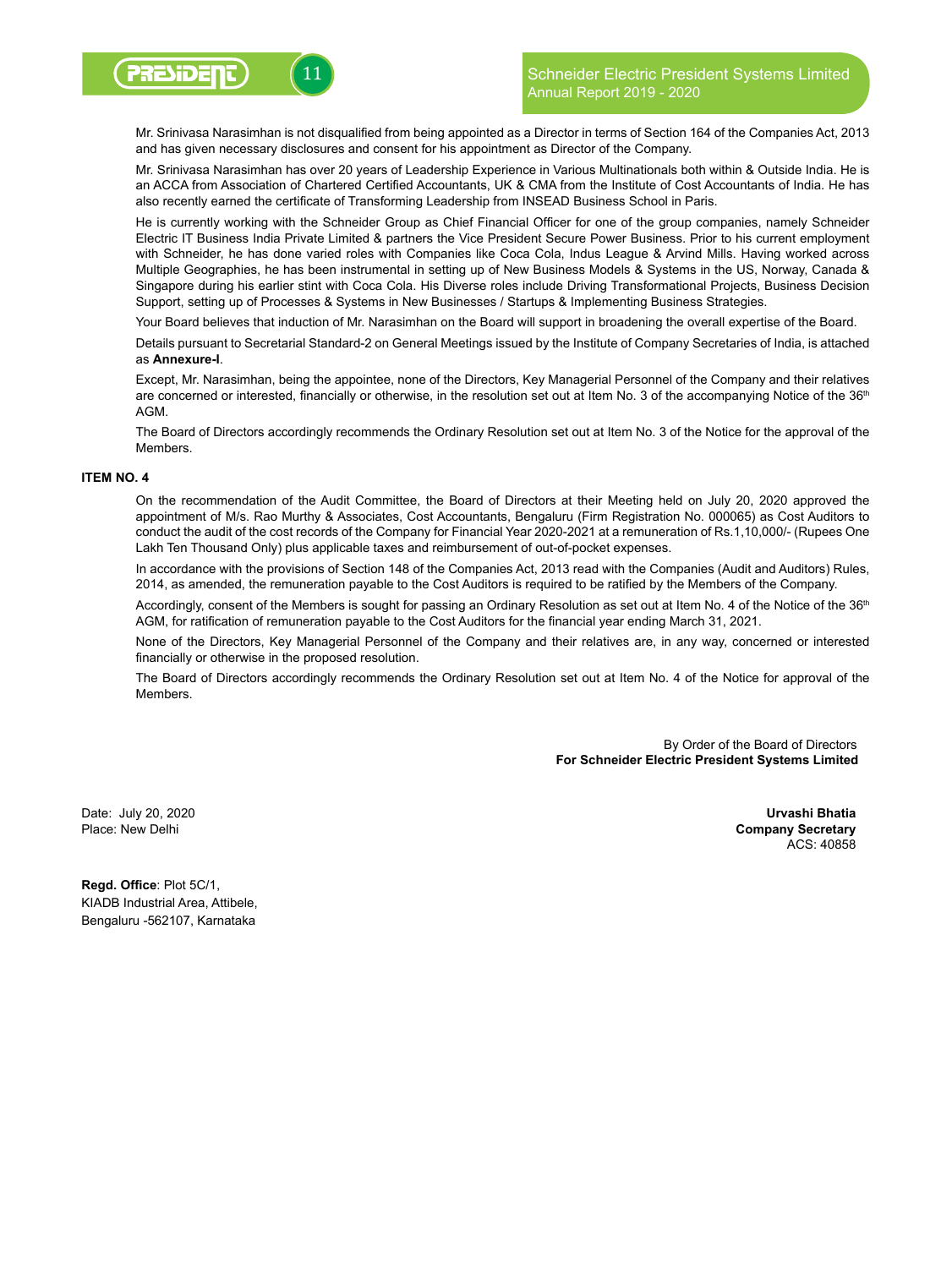

 Mr. Srinivasa Narasimhan is not disqualified from being appointed as a Director in terms of Section 164 of the Companies Act, 2013 and has given necessary disclosures and consent for his appointment as Director of the Company.

Mr. Srinivasa Narasimhan has over 20 years of Leadership Experience in Various Multinationals both within & Outside India. He is an ACCA from Association of Chartered Certified Accountants, UK & CMA from the Institute of Cost Accountants of India. He has also recently earned the certificate of Transforming Leadership from INSEAD Business School in Paris.

 He is currently working with the Schneider Group as Chief Financial Officer for one of the group companies, namely Schneider Electric IT Business India Private Limited & partners the Vice President Secure Power Business. Prior to his current employment with Schneider, he has done varied roles with Companies like Coca Cola, Indus League & Arvind Mills. Having worked across Multiple Geographies, he has been instrumental in setting up of New Business Models & Systems in the US, Norway, Canada & Singapore during his earlier stint with Coca Cola. His Diverse roles include Driving Transformational Projects, Business Decision Support, setting up of Processes & Systems in New Businesses / Startups & Implementing Business Strategies.

Your Board believes that induction of Mr. Narasimhan on the Board will support in broadening the overall expertise of the Board.

Details pursuant to Secretarial Standard-2 on General Meetings issued by the Institute of Company Secretaries of India, is attached as **Annexure-I**.

Except, Mr. Narasimhan, being the appointee, none of the Directors, Key Managerial Personnel of the Company and their relatives are concerned or interested, financially or otherwise, in the resolution set out at Item No. 3 of the accompanying Notice of the 36<sup>th</sup> **AGM** 

The Board of Directors accordingly recommends the Ordinary Resolution set out at Item No. 3 of the Notice for the approval of the **Members** 

#### **ITEM NO. 4**

On the recommendation of the Audit Committee, the Board of Directors at their Meeting held on July 20, 2020 approved the appointment of M/s. Rao Murthy & Associates, Cost Accountants, Bengaluru (Firm Registration No. 000065) as Cost Auditors to conduct the audit of the cost records of the Company for Financial Year 2020-2021 at a remuneration of Rs.1,10,000/- (Rupees One Lakh Ten Thousand Only) plus applicable taxes and reimbursement of out-of-pocket expenses.

In accordance with the provisions of Section 148 of the Companies Act, 2013 read with the Companies (Audit and Auditors) Rules, 2014, as amended, the remuneration payable to the Cost Auditors is required to be ratified by the Members of the Company.

Accordingly, consent of the Members is sought for passing an Ordinary Resolution as set out at Item No. 4 of the Notice of the 36<sup>th</sup> AGM, for ratification of remuneration payable to the Cost Auditors for the financial year ending March 31, 2021.

None of the Directors, Key Managerial Personnel of the Company and their relatives are, in any way, concerned or interested financially or otherwise in the proposed resolution.

The Board of Directors accordingly recommends the Ordinary Resolution set out at Item No. 4 of the Notice for approval of the Members.

> By Order of the Board of Directors **For Schneider Electric President Systems Limited**

Date: July 20, 2020 Place: New Delhi

 **Urvashi Bhatia Company Secretary** ACS: 40858

**Regd. Office**: Plot 5C/1, KIADB Industrial Area, Attibele, Bengaluru -562107, Karnataka